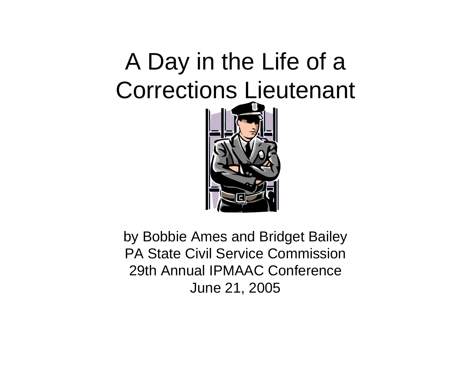### A Day in the Life of a Corrections Lieutenant



by Bobbie Ames and Bridget Bailey PA State Civil Service Commission29th Annual IPMAAC Conference June 21, 2005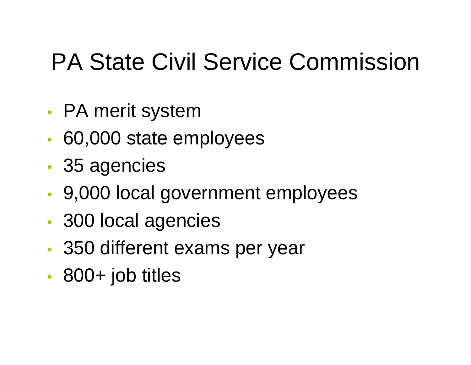### PA State Civil Service Commission

- •PA merit system
- •60,000 state employees
- •35 agencies
- •9,000 local government employees
- •300 local agencies
- •350 different exams per year
- •800+ job titles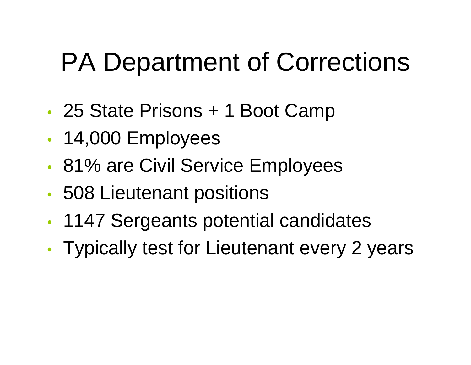## PA Department of Corrections

- •• 25 State Prisons + 1 Boot Camp
- •• 14,000 Employees
- •81% are Civil Service Employees
- •508 Lieutenant positions
- •1147 Sergeants potential candidates
- •Typically test for Lieutenant every 2 years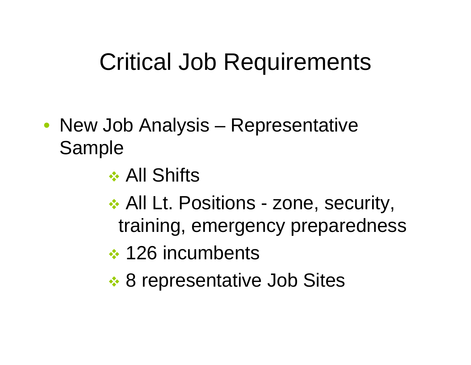### Critical Job Requirements

- New Job Analysis Representative Sample
	- **❖ All Shifts**
	- **★ All Lt. Positions zone, security,** training, emergency preparedness
	- **↑ 126 incumbents**
	- **8 representative Job Sites**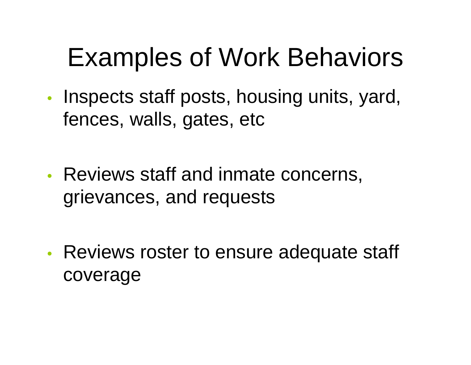## Examples of Work Behaviors

•• Inspects staff posts, housing units, yard, fences, walls, gates, etc

•• Reviews staff and inmate concerns, grievances, and requests

•• Reviews roster to ensure adequate staff coverage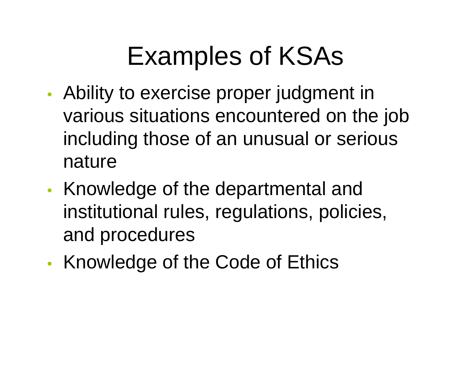## Examples of KSAs

- • Ability to exercise proper judgment in various situations encountered on the job including those of an unusual or serious nature
- •• Knowledge of the departmental and institutional rules, regulations, policies, and procedures
- •• Knowledge of the Code of Ethics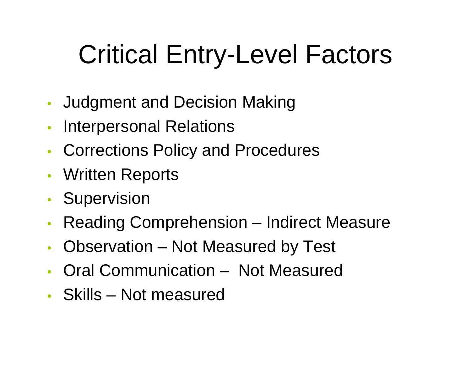# Critical Entry-Level Factors

- •Judgment and Decision Making
- $\bullet$ Interpersonal Relations
- •Corrections Policy and Procedures
- •Written Reports
- •• Supervision
- $\bullet$ Reading Comprehension – Indirect Measure
- $\bullet$ Observation – Not Measured by Test
- Oral Communication Not Measured
- Skills Not measured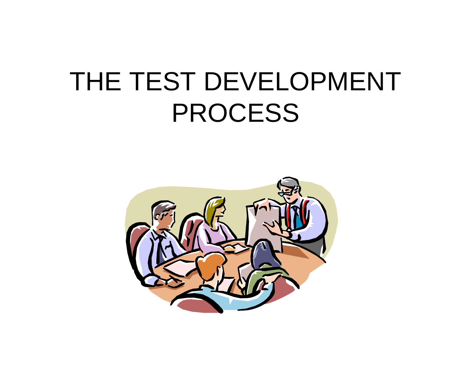### THE TEST DEVELOPMENT PROCESS

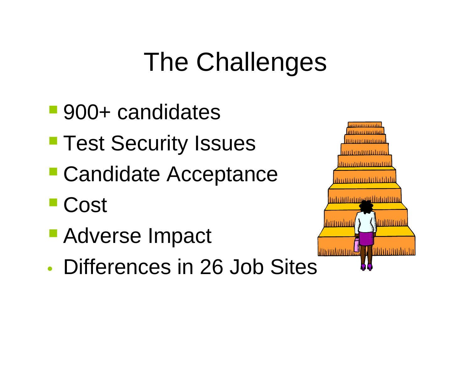## The Challenges

- 900+ candidates
- **Test Security Issues**
- Candidate Acceptance
- Cost
- Adverse Impact
- Differences in 26 Job Sites

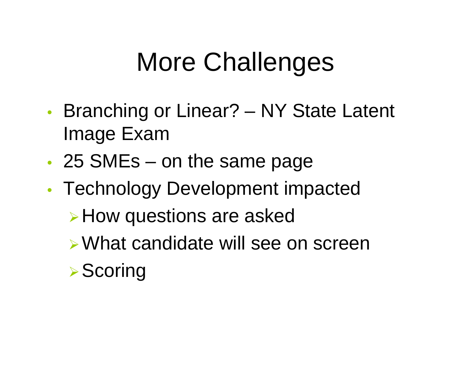## More Challenges

- • Branching or Linear? – NY State Latent Image Exam
- •• 25 SMEs – on the same page
- • Technology Development impacted <sup>¾</sup>How questions are asked ¾What candidate will see on screen**▶Scoring**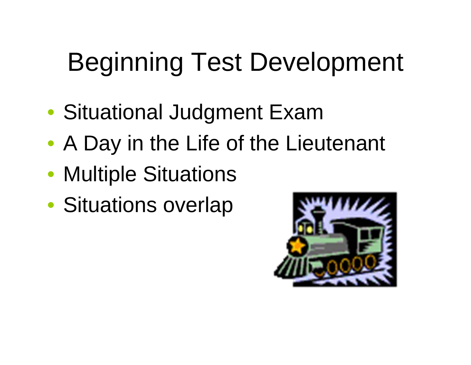# Beginning Test Development

- Situational Judgment Exam
- A Day in the Life of the Lieutenant
- Multiple Situations
- Situations overlap

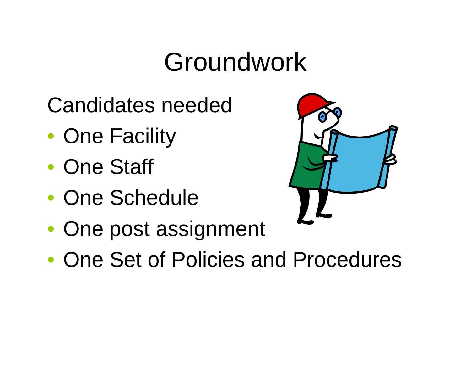### Groundwork

- Candidates needed
- One Facility
- One Staff
- One Schedule



- One post assignment
- One Set of Policies and Procedures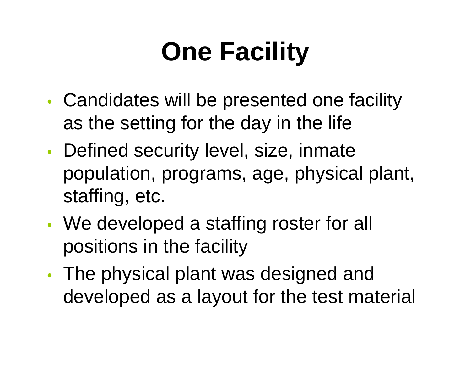# **One Facility**

- • Candidates will be presented one facility as the setting for the day in the life
- •• Defined security level, size, inmate population, programs, age, physical plant, staffing, etc.
- • We developed a staffing roster for all positions in the facility
- •• The physical plant was designed and developed as a layout for the test material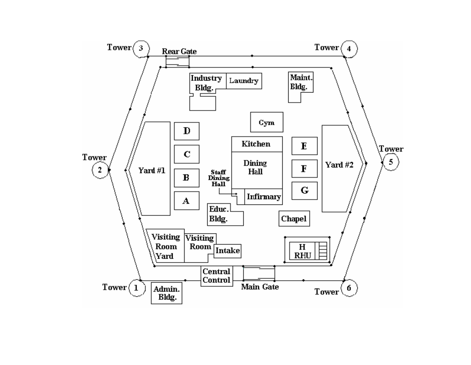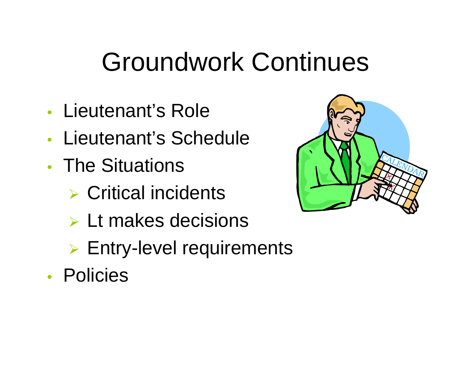## Groundwork Continues

- Lieutenant's Role
- Lieutenant's Schedule
- The Situations
	- $\triangleright$  Critical incidents
	- ¾ Lt makes decisions
	- ¾ Entry-level requirements
- Policies

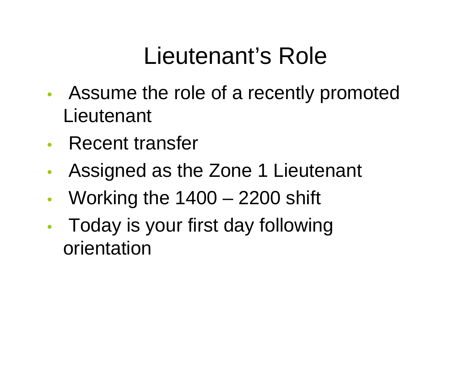### Lieutenant's Role

- • Assume the role of a recently promoted **Lieutenant**
- •Recent transfer
- •Assigned as the Zone 1 Lieutenant
- $\bullet$ Working the 1400 – 2200 shift
- • Today is your first day following orientation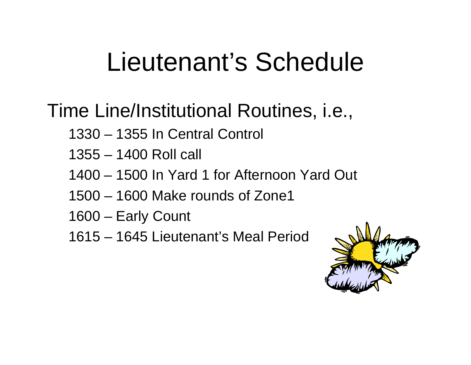### Lieutenant's Schedule

#### Time Line/Institutional Routines, i.e.,

- 1330 1355 In Central Control
- 1355 1400 Roll call
- 1400 1500 In Yard 1 for Afternoon Yard Out
- 1500 1600 Make rounds of Zone1
- 1600 Early Count
- 1615 1645 Lieutenant's Meal Period

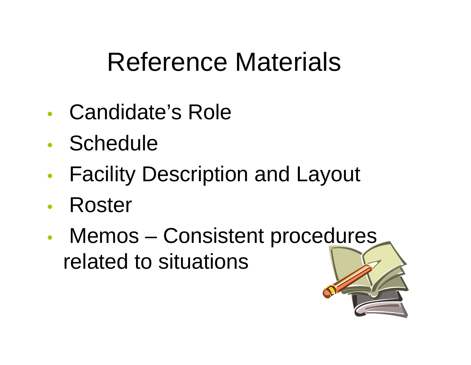### Reference Materials

- Candidate's Role
- Schedule
- •Facility Description and Layout
- $\bullet$ Roster
- •• Memos – Consistent procedures related to situations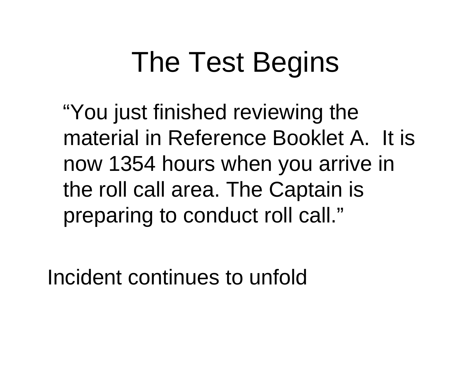# The Test Begins

"You just finished reviewing the material in Reference Booklet A. It is now 1354 hours when you arrive in the roll call area. The Captain is preparing to conduct roll call."

Incident continues to unfold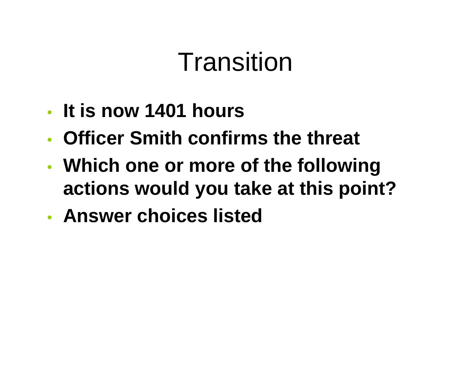## Transition

- **It is now 1401 hours**
- **Officer Smith confirms the threat**
- • **Which one or more of the following actions would you take at this point?**
- **Answer choices listed**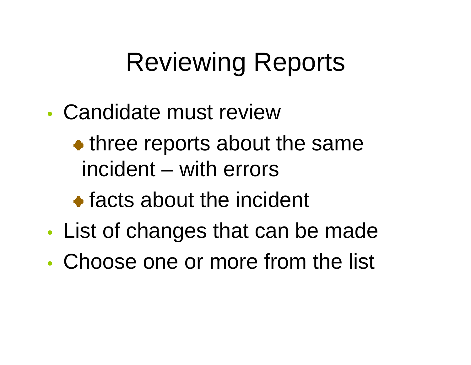## Reviewing Reports

- Candidate must review
	- three reports about the same incident – with errors
	- **•** facts about the incident
- •List of changes that can be made
- Choose one or more from the list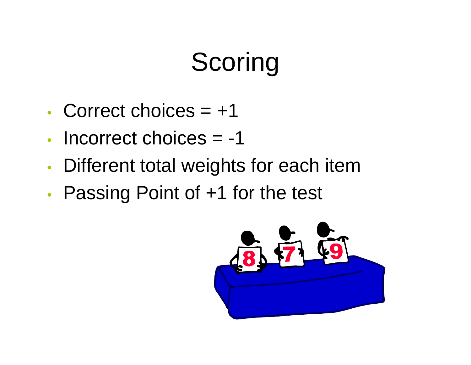# **Scoring**

- Correct choices = +1
- Incorrect choices = -1
- •Different total weights for each item
- •• Passing Point of +1 for the test

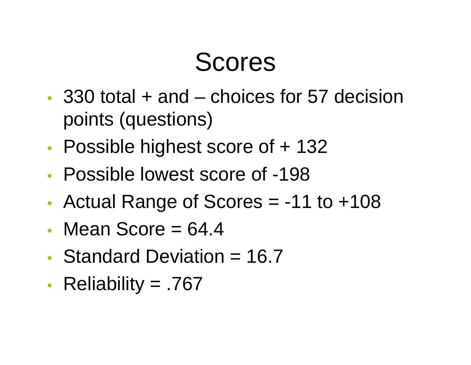### Scores

- 330 total + and choices for 57 decision points (questions)
- •Possible highest score of + 132
- Possible lowest score of -198
- •Actual Range of Scores = -11 to +108
- Mean Score  $= 64.4$
- Standard Deviation = 16.7
- •Reliability = .767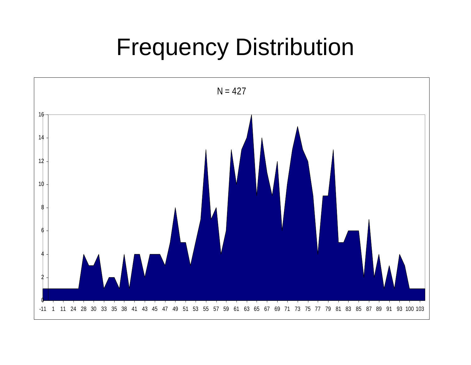### Frequency Distribution

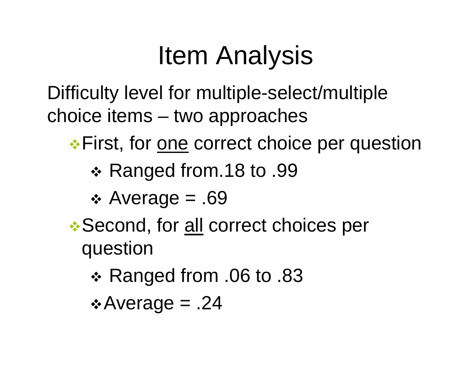### Item Analysis

Difficulty level for multiple-select/multiple choice items – two approaches

**\*** First, for <u>one</u> correct choice per question

- Ranged from.18 to .99
- Average = .69
- **.\* Second, for all correct choices per** question
	- Ranged from .06 to .83
	- $\triangle$  Average = .24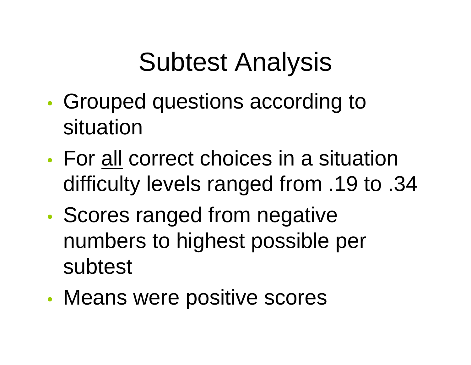## Subtest Analysis

- • Grouped questions according to situation
- For all correct choices in a situation difficulty levels ranged from .19 to .34
- •• Scores ranged from negative numbers to highest possible per subtest
- •Means were positive scores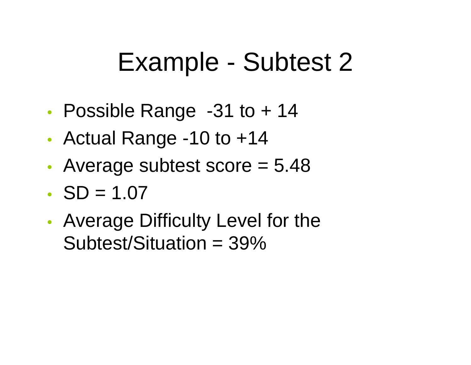### Example - Subtest 2

- •Possible Range -31 to + 14
- •Actual Range -10 to +14
- •• Average subtest score = 5.48
- $SD = 1.07$
- • Average Difficulty Level for the Subtest/Situation = 39%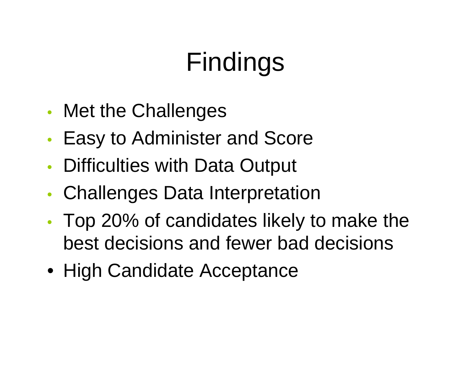# Findings

- •• Met the Challenges
- •Easy to Administer and Score
- •Difficulties with Data Output
- •Challenges Data Interpretation
- • Top 20% of candidates likely to make the best decisions and fewer bad decisions
- High Candidate Acceptance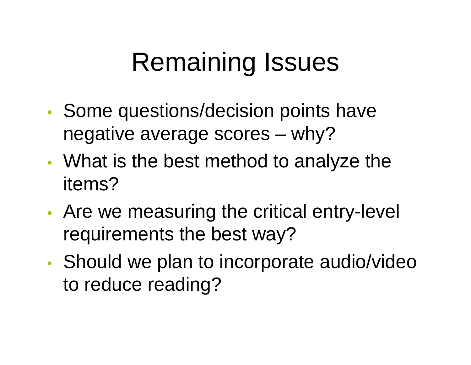## Remaining Issues

- •• Some questions/decision points have negative average scores – why?
- •• What is the best method to analyze the items?
- • Are we measuring the critical entry-level requirements the best way?
- •• Should we plan to incorporate audio/video to reduce reading?